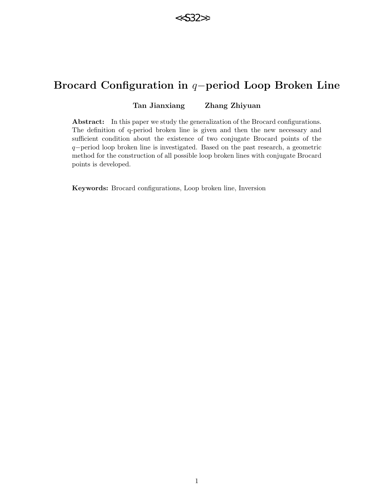

# Brocard Configuration in q−period Loop Broken Line

## Tan Jianxiang Zhang Zhiyuan

Abstract: In this paper we study the generalization of the Brocard configurations. The definition of q-period broken line is given and then the new necessary and sufficient condition about the existence of two conjugate Brocard points of the q−period loop broken line is investigated. Based on the past research, a geometric method for the construction of all possible loop broken lines with conjugate Brocard points is developed.

Keywords: Brocard configurations, Loop broken line, Inversion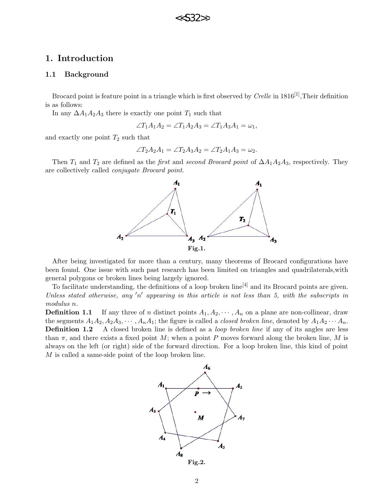## 1. Introduction

#### 1.1 Background

Brocard point is feature point in a triangle which is first observed by  $Crelle$  in  $1816^{[1]}$ , Their definition is as follows:

In any  $\Delta A_1 A_2 A_3$  there is exactly one point  $T_1$  such that

$$
\angle T_1A_1A_2 = \angle T_1A_2A_3 = \angle T_1A_3A_1 = \omega_1,
$$

and exactly one point  $T_2$  such that

$$
\angle T_2A_2A_1 = \angle T_2A_3A_2 = \angle T_2A_1A_3 = \omega_2.
$$

Then  $T_1$  and  $T_2$  are defined as the *first* and *second Brocard point* of  $\Delta A_1 A_2 A_3$ , respectively. They are collectively called conjugate Brocard point.



After being investigated for more than a century, many theorems of Brocard configurations have been found. One issue with such past research has been limited on triangles and quadrilaterals,with general polygons or broken lines being largely ignored.

To facilitate understanding, the definitions of a loop broken line<sup>[4]</sup> and its Brocard points are given. Unless stated otherwise, any 'n' appearing in this article is not less than 5, with the subscripts in modulus n.

**Definition 1.1** If any three of n distinct points  $A_1, A_2, \dots, A_n$  on a plane are non-collinear, draw the segments  $A_1A_2, A_2A_3, \cdots, A_nA_1$ ; the figure is called a *closed broken line*, denoted by  $A_1A_2 \cdots A_n$ . **Definition 1.2** A closed broken line is defined as a *loop broken line* if any of its angles are less than  $\pi$ , and there exists a fixed point M; when a point P moves forward along the broken line, M is always on the left (or right) side of the forward direction. For a loop broken line, this kind of point M is called a same-side point of the loop broken line.



Fig.2.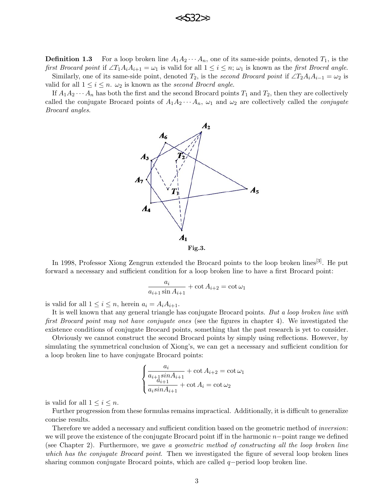

**Definition 1.3** For a loop broken line  $A_1A_2 \cdots A_n$ , one of its same-side points, denoted  $T_1$ , is the first Brocard point if  $\angle T_1A_iA_{i+1} = \omega_1$  is valid for all  $1 \leq i \leq n$ ;  $\omega_1$  is known as the first Brocrd angle. Similarly, one of its same-side point, denoted  $T_2$ , is the second Brocard point if  $\angle T_2A_iA_{i-1} = \omega_2$  is valid for all  $1 \leq i \leq n$ .  $\omega_2$  is known as the second Brocrd angle.

If  $A_1A_2 \cdots A_n$  has both the first and the second Brocard points  $T_1$  and  $T_2$ , then they are collectively called the conjugate Brocard points of  $A_1A_2\cdots A_n$ ,  $\omega_1$  and  $\omega_2$  are collectively called the *conjugate* Brocard angles.



In 1998, Professor Xiong Zengrun extended the Brocard points to the loop broken lines<sup>[3]</sup>. He put forward a necessary and sufficient condition for a loop broken line to have a first Brocard point:

$$
\frac{a_i}{a_{i+1}\sin A_{i+1}} + \cot A_{i+2} = \cot \omega_1
$$

is valid for all  $1 \leq i \leq n$ , herein  $a_i = A_i A_{i+1}$ .

It is well known that any general triangle has conjugate Brocard points. But a loop broken line with first Brocard point may not have conjugate ones (see the figures in chapter 4). We investigated the existence conditions of conjugate Brocard points, something that the past research is yet to consider.

Obviously we cannot construct the second Brocard points by simply using reflections. However, by simulating the symmetrical conclusion of Xiong's, we can get a necessary and sufficient condition for a loop broken line to have conjugate Brocard points:

$$
\begin{cases} \frac{a_i}{a_{i+1}sin A_{i+1}} + \cot A_{i+2} = \cot \omega_1\\ \frac{a_{i+1}}{a_i sin A_{i+1}} + \cot A_i = \cot \omega_2 \end{cases}
$$

is valid for all  $1 \leq i \leq n$ .

Further progression from these formulas remains impractical. Additionally, it is difficult to generalize concise results.

Therefore we added a necessary and sufficient condition based on the geometric method of inversion: we will prove the existence of the conjugate Brocard point iff in the harmonic  $n-p$ oint range we defined (see Chapter 2). Furthermore, we gave a geometric method of constructing all the loop broken line which has the conjugate Brocard point. Then we investigated the figure of several loop broken lines sharing common conjugate Brocard points, which are called  $q$  –period loop broken line.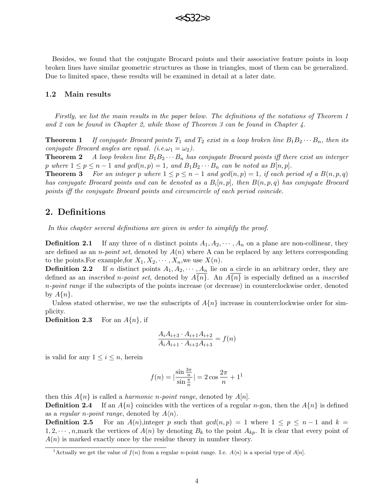

Besides, we found that the conjugate Brocard points and their associative feature points in loop broken lines have similar geometric structures as those in triangles, most of them can be generalized. Due to limited space, these results will be examined in detail at a later date.

#### 1.2 Main results

Firstly, we list the main results in the paper below. The definitions of the notations of Theorem 1 and 2 can be found in Chapter 2, while those of Theorem 3 can be found in Chapter 4.

**Theorem 1** If conjugate Brocard points  $T_1$  and  $T_2$  exist in a loop broken line  $B_1B_2 \cdots B_n$ , then its conjugate Brocard angles are equal. (i.e. $\omega_1 = \omega_2$ ).

**Theorem 2** A loop broken line  $B_1B_2 \cdots B_n$  has conjugate Brocard points iff there exist an interger p where  $1 \le p \le n-1$  and  $gcd(n, p) = 1$ , and  $B_1B_2 \cdots B_n$  can be noted as  $B[n, p]$ .

**Theorem 3** For an integer p where  $1 \leq p \leq n-1$  and  $gcd(n, p) = 1$ , if each period of a  $B(n, p, q)$ has conjugate Brocard points and can be denoted as a  $B_i[n,p]$ , then  $B(n,p,q)$  has conjugate Brocard points iff the conjugate Brocard points and circumcircle of each period coincide.

## 2. Definitions

In this chapter several definitions are given in order to simplify the proof.

**Definition 2.1** If any three of n distinct points  $A_1, A_2, \dots, A_n$  on a plane are non-collinear, they are defined as an *n-point set*, denoted by  $A(n)$  where A can be replaced by any letters corresponding to the points. For example, for  $X_1, X_2, \cdots, X_n$ , we use  $X(n)$ .

**Definition 2.2** If n distinct points  $A_1, A_2, \dots, A_n$  lie on a circle in an arbitrary order, they are defined as an *inscribed n-point set*, denoted by  $A\{n\}$ . An  $A\{n\}$  is especially defined as a *inscribed* n-point range if the subscripts of the points increase (or decrease) in counterclockwise order, denoted by  $A\{n\}$ .

Unless stated otherwise, we use the subscripts of  $A\{n\}$  increase in counterclockwise order for simplicity.

**Definition 2.3** For an  $A\{n\}$ , if

$$
\frac{A_i A_{i+3} \cdot A_{i+1} A_{i+2}}{A_i A_{i+1} \cdot A_{i+2} A_{i+3}} = f(n)
$$

is valid for any  $1 \leq i \leq n$ , herein

$$
f(n) = \left|\frac{\sin\frac{3\pi}{n}}{\sin\frac{\pi}{n}}\right| = 2\cos\frac{2\pi}{n} + 1^1
$$

then this  $A\{n\}$  is called a *harmonic n-point range*, denoted by  $A[n]$ .

**Definition 2.4** If an  $A\{n\}$  coincides with the vertices of a regular n-gon, then the  $A\{n\}$  is defined as a regular *n*-point range, denoted by  $A\langle n \rangle$ .

**Definition 2.5** For an  $A(n)$ , integer p such that  $gcd(n, p) = 1$  where  $1 \leq p \leq n-1$  and  $k =$  $1, 2, \dots, n$ , mark the vertices of  $A(n)$  by denoting  $B_k$  to the point  $A_{kn}$ . It is clear that every point of  $A(n)$  is marked exactly once by the residue theory in number theory.

<sup>&</sup>lt;sup>1</sup>Actually we get the value of  $f(n)$  from a regular *n*-point range. I.e.  $A\langle n\rangle$  is a special type of  $A[n]$ .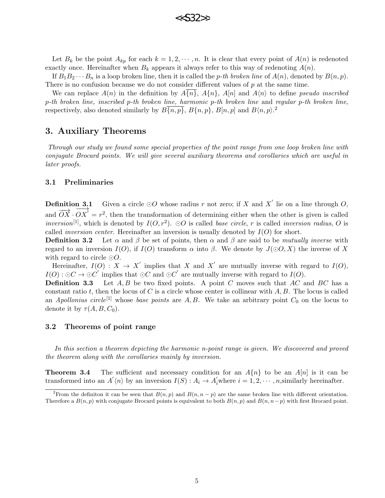

Let  $B_k$  be the point  $A_{kp}$  for each  $k = 1, 2, \dots, n$ . It is clear that every point of  $A(n)$  is redenoted exactly once. Hereinafter when  $B_k$  appears it always refer to this way of redenoting  $A(n)$ .

If  $B_1B_2\cdots B_n$  is a loop broken line, then it is called the p-th broken line of  $A(n)$ , denoted by  $B(n, p)$ . There is no confusion because we do not consider different values of  $p$  at the same time.

We can replace  $A(n)$  in the definition by  $A\{n\}$ ,  $A\{n\}$ ,  $A[n]$  and  $A\langle n\rangle$  to define pseudo inscribed p-th broken line, inscribed p-th broken line, harmonic p-th broken line and regular p-th broken line, respectively, also denoted similarly by  $B\overline{\{n,p\}}$ ,  $B\{n,p\}$ ,  $B[n,p]$  and  $B\langle n,p\rangle$ .

## 3. Auxiliary Theorems

Through our study we found some special properties of the point range from one loop broken line with conjugate Brocard points. We will give several auxiliary theorems and corollaries which are useful in later proofs.

#### 3.1 Preliminaries

**Definition 3.1** Given a circle  $\odot$ O whose radius r not zero; if X and X' lie on a line through O,  $\overrightarrow{OX} \cdot \overrightarrow{OX'} = r^2$ , then the transformation of determining either when the other is given is called inversion<sup>[1]</sup>, which is denoted by  $I(O, r^2)$ .  $\odot O$  is called base circle, r is called inversion radius, O is called *inversion center*. Hereinafter an inversion is usually denoted by  $I(O)$  for short.

**Definition 3.2** Let  $\alpha$  and  $\beta$  be set of points, then  $\alpha$  and  $\beta$  are said to be *mutually inverse* with regard to an inversion  $I(O)$ , if  $I(O)$  transform  $\alpha$  into  $\beta$ . We denote by  $J(\odot O, X)$  the inverse of X with regard to circle  $\odot$ O.

Hereinafter,  $I(O) : X \to X'$  implies that X and X' are mutually inverse with regard to  $I(O)$ ,  $I(O): \odot C \rightarrow \odot C'$  implies that  $\odot C$  and  $\odot C'$  are mutually inverse with regard to  $I(O)$ .

**Definition 3.3** Let  $A, B$  be two fixed points. A point C moves such that  $AC$  and  $BC$  has a constant ratio t, then the locus of C is a circle whose center is collinear with  $A, B$ . The locus is called an Apollonius circle<sup>[1]</sup> whose base points are A, B. We take an arbitrary point  $C_0$  on the locus to denote it by  $\tau(A, B, C_0)$ .

#### 3.2 Theorems of point range

In this section a theorem depicting the harmonic n-point range is given. We discovered and proved the theorem along with the corollaries mainly by inversion.

**Theorem 3.4** The sufficient and necessary condition for an  $A\{n\}$  to be an  $A[n]$  is it can be transformed into an  $A'(n)$  by an inversion  $I(S)$ :  $A_i \to A'_i$  where  $i = 1, 2, \dots, n$ , similarly hereinafter.

<sup>&</sup>lt;sup>2</sup>From the definiton it can be seen that  $B(n, p)$  and  $B(n, n - p)$  are the same broken line with different orientation. Therefore a  $B(n, p)$  with conjugate Brocard points is equivalent to both  $B(n, p)$  and  $B(n, n-p)$  with first Brocard point.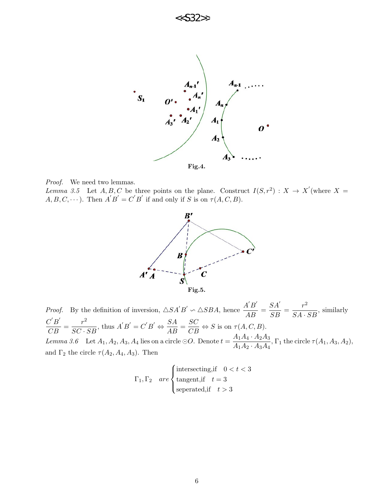



Lemma 3.5 Let A, B, C be three points on the plane. Construct  $I(S, r^2) : X \to X'$  (where X =  $A, B, C, \dots$ ). Then  $A'B' = C'B'$  if and only if S is on  $\tau(A, C, B)$ .



*Proof.* By the definition of inversion,  $\triangle SA'B' \sim \triangle SBA$ , hence  $\frac{A'B'}{AB}$  $\frac{1}{AB} =$  $SA^{\prime}$  $\frac{SA'}{SB} = \frac{r^2}{SA}$  $\frac{1}{SA \cdot SB}$ , similarly  $C^{^{\prime}}B^{^{\prime}}$  $\frac{C'B'}{CB} = \frac{r^2}{SC}$  $\frac{r^2}{SC \cdot SB}$ , thus  $A'B' = C'B' \Leftrightarrow \frac{SA}{AB} = \frac{SC}{CB} \Leftrightarrow S$  is on  $\tau(A, C, B)$ . Lemma 3.6 Let  $A_1, A_2, A_3, A_4$  lies on a circle  $\odot$ O. Denote  $t = \frac{A_1 A_4 \cdot A_2 A_3}{4 A_4 A_4 A_3 A_4}$  $\frac{A_{1}A_{4}}{A_{1}A_{2}\cdot A_{3}A_{4}}$ ,  $\Gamma_{1}$  the circle  $\tau(A_{1},A_{3},A_{2}),$ and  $\Gamma_2$  the circle  $\tau(A_2, A_4, A_3)$ . Then

$$
\Gamma_1, \Gamma_2 \quad are \begin{cases} \text{intersecting,} & \text{if } 0 < t < 3 \\ \text{tangent,} & \text{if } t = 3 \\ \text{seperated,} & \text{if } t > 3 \end{cases}
$$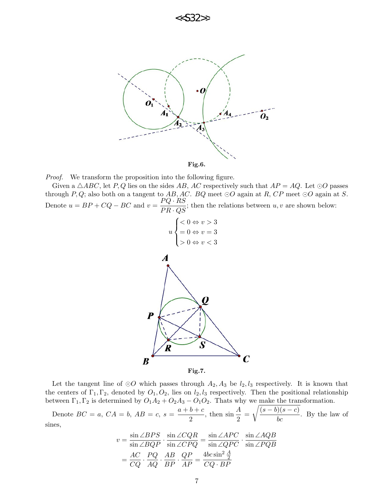



Proof. We transform the proposition into the following figure.

Given a  $\triangle ABC$ , let P, Q lies on the sides AB, AC respectively such that  $AP = AQ$ . Let  $\odot O$  passes through P, Q; also both on a tangent to AB, AC. BQ meet  $\odot$ O again at R, CP meet  $\odot$ O again at S. Denote  $u = BP + CQ - BC$  and  $v = \frac{PQ \cdot RS}{PR \cdot QS}$ ; then the relations between  $u, v$  are shown below:



Let the tangent line of  $\odot O$  which passes through  $A_2, A_3$  be  $l_2, l_3$  respectively. It is known that the centers of  $\Gamma_1, \Gamma_2$ , denoted by  $O_1, O_2$ , lies on  $l_2, l_3$  respectively. Then the positional relationship between  $\Gamma_1, \Gamma_2$  is determined by  $O_1A_2 + O_2A_3 - O_1O_2$ . Thats why we make the transformation.

Denote  $BC = a$ ,  $CA = b$ ,  $AB = c$ ,  $s = \frac{a+b+c}{a}$  $\frac{b+c}{2}$ , then  $\sin \frac{A}{2}$  =  $\sqrt{\frac{(s-b)(s-c)}{bc}}$ . By the law of sines,

$$
v = \frac{\sin \angle BPS}{\sin \angle BQP} \cdot \frac{\sin \angle CQR}{\sin \angle CPQ} = \frac{\sin \angle APC}{\sin \angle QPC} \cdot \frac{\sin \angle AQB}{\sin \angle PQB}
$$

$$
= \frac{AC}{CQ} \cdot \frac{PQ}{AQ} \cdot \frac{AB}{BP} \cdot \frac{QP}{AP} = \frac{4bc \sin^2 \frac{A}{2}}{CQ \cdot BP}
$$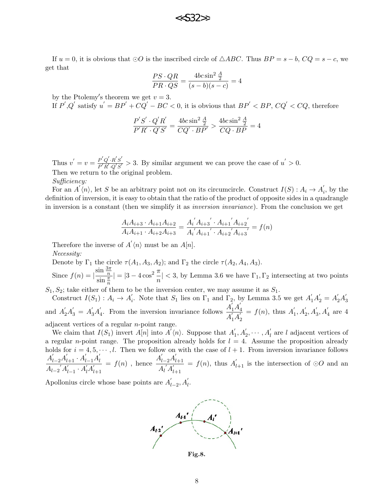If  $u = 0$ , it is obvious that  $\odot O$  is the inscribed circle of  $\triangle ABC$ . Thus  $BP = s - b$ ,  $CQ = s - c$ , we get that

$$
\frac{PS \cdot QR}{PR \cdot QS} = \frac{4bc \sin^2 \frac{A}{2}}{(s-b)(s-c)} = 4
$$

by the Ptolemy's theorem we get  $v = 3$ .

If  $P', Q'$  satisfy  $u' = BP' + CQ' - BC < 0$ , it is obvious that  $BP' < BP$ ,  $CQ' < CQ$ , therefore

$$
\frac{P'S' \cdot Q'R'}{P'R' \cdot Q'S'} = \frac{4bc \sin^2 \frac{A}{2}}{CQ' \cdot BP'} > \frac{4bc \sin^2 \frac{A}{2}}{CQ \cdot BP} = 4
$$

Thus  $v' = v = \frac{P'Q' \cdot R'S'}{P'P' \cdot Q'S'}$  $\frac{P'Q' \cdot R'S'}{P'R' \cdot Q'S'} > 3$ . By similar argument we can prove the case of  $u' > 0$ . Then we return to the original problem.

Sufficiency:

For an  $A'(n)$ , let S be an arbitrary point not on its circumcircle. Construct  $I(S) : A_i \to A'_i$  $i<sub>i</sub>$ , by the definition of inversion, it is easy to obtain that the ratio of the product of opposite sides in a quadrangle in inversion is a constant (then we simplify it as *inversion invariance*). From the conclusion we get

$$
\frac{A_i A_{i+3} \cdot A_{i+1} A_{i+2}}{A_i A_{i+1} \cdot A_{i+2} A_{i+3}} = \frac{A_i^{\prime} A_{i+3}^{\prime} \cdot A_{i+1}^{\prime} A_{i+2}^{\prime}}{A_i^{\prime} A_{i+1}^{\prime} \cdot A_{i+2}^{\prime} A_{i+3}} = f(n)
$$

Therefore the inverse of  $A'(n)$  must be an  $A[n]$ .

Necessity:

Denote by  $\Gamma_1$  the circle  $\tau(A_1, A_3, A_2)$ ; and  $\Gamma_2$  the circle  $\tau(A_2, A_4, A_3)$ .

Since  $f(n) = |$  $\frac{\sin \frac{3\pi}{n}}{\sin \frac{\pi}{n}}$  $| = |3 - 4\cos^2{\frac{\pi}{n}}| < 3$ , by Lemma 3.6 we have  $\Gamma_1, \Gamma_2$  intersecting at two points

 $S_1, S_2$ ; take either of them to be the inversion center, we may assume it as  $S_1$ .

Construct  $I(S_1)$ :  $A_i \rightarrow A'_i$ , Note that  $S_1$  lies on  $\Gamma_1$  and  $\Gamma_2$ , by Lemma 3.5 we get  $A_1'A_2 = A_2'A_3'$ 3 and  $A'_2A'_3 = A'_3A'_4$  $A'_1$ . From the inversion invariance follows  $\frac{A'_1 A'_2}{A'_1 A'_2}$ 4  $\overline{A_1'A_2'}$  $= f(n)$ , thus  $A'_1$  $A'_1, A'_2, A'_3, A'_4$  are 4 adjacent vertices of a regular n-point range.

We claim that  $I(S_1)$  invert  $A[n]$  into  $\overline{A}'(n)$ . Suppose that  $A'_1$  $A'_1, A'_2, \cdots, A'_l$  are l adjacent vertices of a regular *n*-point range. The proposition already holds for  $l = 4$ . Assume the proposition already holds for  $i = 4, 5, \dots, l$ . Then we follow on with the case of  $l + 1$ . From inversion invariance follows  $A'_{l-2}A'_{l+1} \cdot A'_{l-1}A'_{l}$ l  $\overline{A_{l-2}}' A_{l-1}' \cdot A_l' A_l'$  $l+1$  $= f(n)$ , hence  $A'_{l-2}A'_{l}$  $l+1$  $\overline{A_l}^{\prime} A_l^{\prime}$  $l+1$  $= f(n)$ , thus  $A'_{l+1}$  is the intersection of  $\odot O$  and an

Apollonius circle whose base points are  $A'_l$  $'_{l-2}, A'_{l}.$ 



Fig.8.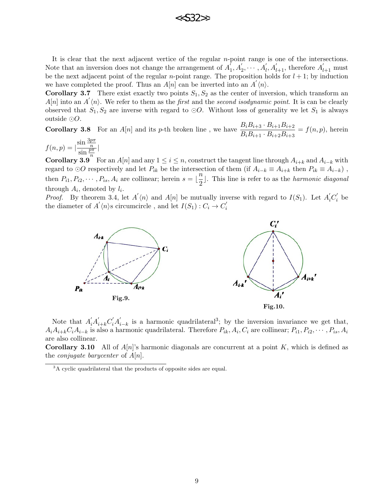

It is clear that the next adjacent vertice of the regular  $n$ -point range is one of the intersections. Note that an inversion does not change the arrangement of  $A_1^{\prime}$  $\bar{A}_1, A_2', \cdots, A_l', A_{l+1}', \text{ therefore } A_{l+1}' \text{ must}$ be the next adjacent point of the regular *n*-point range. The proposition holds for  $l + 1$ ; by induction we have completed the proof. Thus an  $A[n]$  can be inverted into an  $A'(n)$ .

**Corollary 3.7** There exist exactly two points  $S_1, S_2$  as the center of inversion, which transform an  $A[n]$  into an  $A'(n)$ . We refer to them as the *first* and the *second isodynamic point*. It is can be clearly observed that  $S_1, S_2$  are inverse with regard to  $\odot O$ . Without loss of generality we let  $S_1$  is always outside  $\odot O$ .

**Corollary 3.8** For an A[n] and its p-th broken line, we have  $\frac{B_i B_{i+3} \cdot B_{i+1} B_{i+2}}{B_i B_{i+2}}$  $\frac{B_i B_{i+1} - B_{i+1} B_{i+2}}{B_i B_{i+1} \cdot B_{i+2} B_{i+3}} = f(n, p)$ , herein

 $f(n,p) = |$  $\frac{\sin \frac{3p\pi}{n}}{\sin \frac{p\pi}{n}}$ 

**Corollary 3.9** For an  $A[n]$  and any  $1 \le i \le n$ , construct the tangent line through  $A_{i+k}$  and  $A_{i-k}$  with regard to  $\odot O$  respectively and let  $P_{ik}$  be the intersection of them (if  $A_{i-k} \equiv A_{i+k}$  then  $P_{ik} \equiv A_{i-k}$ ), then  $P_{i1}, P_{i2}, \cdots, P_{is}, A_i$  are collinear; herein  $s = \lfloor \frac{n}{2} \rfloor$  $\frac{1}{2}$ . This line is refer to as the *harmonic diagonal* through  $A_i$ , denoted by  $l_i$ .

*Proof.* By theorem 3.4, let  $A'(n)$  and  $A[n]$  be mutually inverse with regard to  $I(S_1)$ . Let  $A'_iC'_i$  $i\,$  be the diameter of  $A' \langle n \rangle$ s circumcircle, and let  $I(S_1) : C_i \to C'_i$ i



Note that  $A_i'A_{i+k}'C_i'A_i'$  $i_{-k}$  is a harmonic quadrilateral<sup>3</sup>; by the inversion invariance we get that,  $A_iA_{i+k}C_iA_{i-k}$  is also a harmonic quadrilateral. Therefore  $P_{ik}, A_i, C_i$  are collinear;  $P_{i1}, P_{i2}, \cdots, P_{is}, A_i$ are also collinear.

**Corollary 3.10** All of  $A[n]$ 's harmonic diagonals are concurrent at a point K, which is defined as the *conjugate* barycenter of  $A[n]$ .

 ${}^{3}$ A cyclic quadrilateral that the products of opposite sides are equal.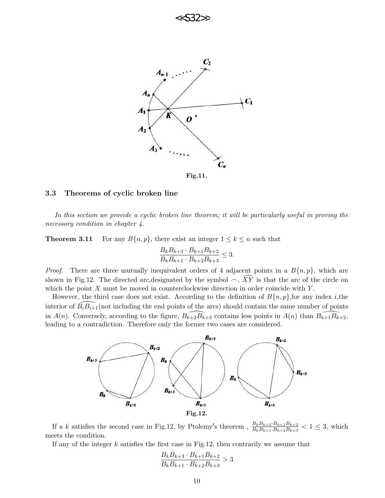

#### 3.3 Theorems of cyclic broken line

In this section we provide a cyclic broken line theorem; it will be particularly useful in proving the necessary condition in chapter 4.

**Theorem 3.11** For any  $B\{n, p\}$ , there exist an integer  $1 \leq k \leq n$  such that

$$
\frac{B_k B_{k+3} \cdot B_{k+1} B_{k+2}}{B_k B_{k+1} \cdot B_{k+2} B_{k+3}} \le 3.
$$

*Proof.* There are three mutually inequivalent orders of 4 adjacent points in a  $B\{n, p\}$ , which are shown in Fig.12. The directed arc, designated by the symbol  $\sim$ ,  $\widehat{XY}$  is that the arc of the circle on which the point  $X$  must be moved in counterclockwise direction in order coincide with  $Y$ .

However, the third case does not exist. According to the definition of  $B\{n,p\}$ , for any index *i*, the interior of  $\widehat{B_iB_{i+1}}$ (not including the end points of the arcs) should contain the same number of points in  $A(n)$ . Conversely, according to the figure,  $B_{k+2}B_{k+3}$  contains less points in  $A(n)$  than  $B_{k+1}B_{k+2}$ , leading to a contradiction. Therefore only the former two cases are considered.



If a k satisfies the second case in Fig.12, by Ptolemy's theorem,  $\frac{B_k B_{k+3} \cdot B_{k+1} B_{k+2}}{B_k B_{k+1} \cdot B_{k+2} B_{k+3}} < 1 \leq 3$ , which meets the condition.

If any of the integer  $k$  satisfies the first case in Fig.12, then contrarily we assume that

$$
\frac{B_k B_{k+3} \cdot B_{k+1} B_{k+2}}{B_k B_{k+1} \cdot B_{k+2} B_{k+3}} > 3
$$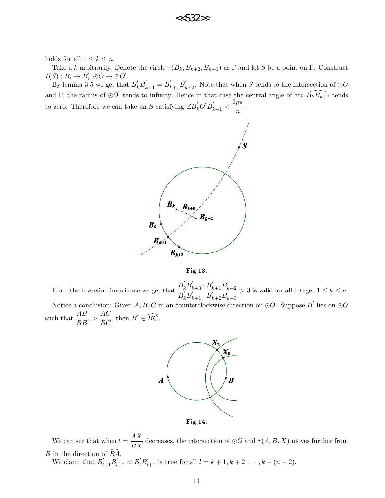

holds for all  $1 \leq k \leq n$ .

Take a k arbitrarily. Denote the circle  $\tau(B_k, B_{k+2}, B_{k+1})$  as  $\Gamma$  and let S be a point on  $\Gamma$ . Construct  $I(S) : B_i \to B_i'$  $i'$ ,  $\odot O \rightarrow \odot O'$ .

By lemma 3.5 we get that  $B'_k B'_{k+1} = B'_{k+1} B'_{k+2}$ . Note that when S tends to the intersection of  $\odot$ O and Γ, the radius of  $\odot O'$  tends to infinity. Hence in that case the central angle of arc  $\widehat{B_kB_{k+2}}$  tends to zero. Therefore we can take an S satisfying  $\angle B'_kO'B'_{k+1} < \frac{2p\pi}{n}$  $\frac{P^n}{n}$ .





From the inversion invariance we get that  $B_{k}'B_{k+3}' \cdot B_{k+1}'B_{k}'$  $k+2$  $\overline{B_{k}^{'}B_{k+1}^{'}\cdot B_{k+2}^{'}B_{k}^{'}}$  $_{k+3}$  $> 3$  is valid for all integer  $1 \leq k \leq n$ . Notice a conclusion: Given  $A, B, C$  in an counterclockwise direction on  $\odot O$ . Suppose  $B^{'}$  lies on  $\odot O$ such that  $\frac{AB'}{BB'} > \frac{AC}{BC}$ , then  $B' \in \widehat{BC}$ .



We can see that when  $t = \frac{AX}{\sqrt{X}}$ BX decreases, the intersection of  $\odot O$  and  $\tau(A, B, X)$  moves further from  $B$  in the direction of  $\overline{B}\overline{A}$ .

We claim that  $B'_{l+1}B'_{l+2} < B'_{l}B'_{l+1}$  is true for all  $l = k+1, k+2, \cdots, k+(n-2)$ .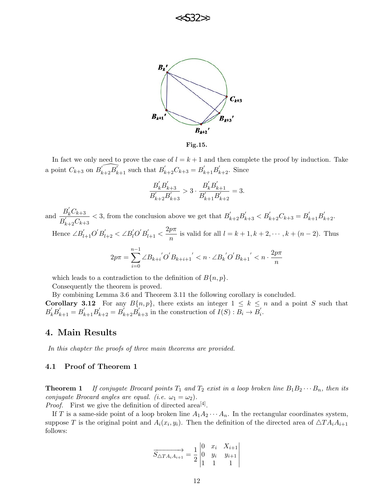



Fig.15.

In fact we only need to prove the case of  $l = k + 1$  and then complete the proof by induction. Take a point  $C_{k+3}$  on  $\widehat{B'_{k+2}B'_{k+1}}$  such that  $B'_{k+2}C_{k+3} = B'_{k+1}B'_{k+2}$ . Since

$$
\frac{B_{k}^{'}B_{k+3}^{'}}{B_{k+2}^{'}B_{k+3}^{'}} > 3 \cdot \frac{B_{k}^{'}B_{k+1}^{'}}{B_{k+1}^{'}B_{k+2}^{'}} = 3.
$$

and  $\frac{B'_kC_{k+3}}{B'_kC_{k+3}}$  $\overline{B_{k+2}'C_{k+3}}$  $<$  3, from the conclusion above we get that  $B'_{k+2}B'_{k+3} < B'_{k+2}C_{k+3} = B'_{k+1}B'_{k+2}$ . Hence  $\angle B'_{l+1}O' B'_{l+2} < \angle B'_{l}O' B'_{l+1} < \frac{2p\pi}{n}$  $\frac{p^{n}}{n}$  is valid for all  $l = k + 1, k + 2, \cdots, k + (n - 2)$ . Thus  $2p\pi =$  $\sum^{n-1}$  $\angle B_{k+i}{}^{'}O^{'}B_{k+i+1}{}^{'}< n\cdot \angle B_{k}{}^{'}O^{'}B_{k+1}{}^{'}< n\cdot \frac{2p\pi}{\pi}$ n

which leads to a contradiction to the definition of  $B\{n, p\}$ .

 $i=0$ 

Consequently the theorem is proved.

By combining Lemma 3.6 and Theorem 3.11 the following corollary is concluded.

**Corollary 3.12** For any  $B\{n,p\}$ , there exists an integer  $1 \leq k \leq n$  and a point S such that  $B'_{k}B'_{k+1} = B'_{k+1}B'_{k+2} = B'_{k+2}B'_{k+3}$  in the construction of  $I(S) : B_i \to B'_i$  $\frac{i}{i}$ .

## 4. Main Results

In this chapter the proofs of three main theorems are provided.

#### 4.1 Proof of Theorem 1

**Theorem 1** If conjugate Brocard points  $T_1$  and  $T_2$  exist in a loop broken line  $B_1B_2 \cdots B_n$ , then its conjugate Brocard angles are equal. (i.e.  $\omega_1 = \omega_2$ ).

*Proof.* First we give the definition of directed area<sup>[4]</sup>.

If T is a same-side point of a loop broken line  $A_1A_2\cdots A_n$ . In the rectangular coordinates system, suppose T is the original point and  $A_i(x_i, y_i)$ . Then the definition of the directed area of  $\triangle TA_iA_{i+1}$ follows:

$$
\overrightarrow{S_{\triangle TA_iA_{i+1}}} = \frac{1}{2} \begin{vmatrix} 0 & x_i & X_{i+1} \\ 0 & y_i & y_{i+1} \\ 1 & 1 & 1 \end{vmatrix}
$$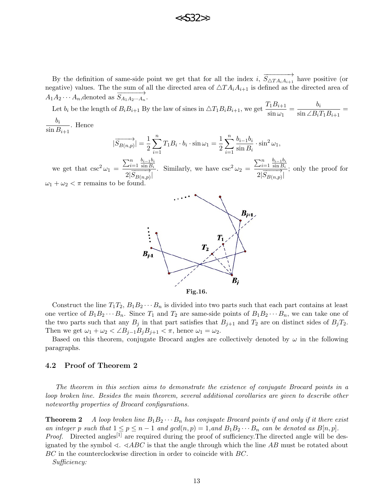

By the definition of same-side point we get that for all the index i,  $\overrightarrow{S_{\Delta TA_iA_{i+1}}}$  have positive (or negative) values. The the sum of all the directed area of  $\triangle TA_iA_{i+1}$  is defined as the directed area of  $A_1A_2 \cdots A_n$ , denoted as  $S_{A_1A_2\cdots A_n}$ .

Let  $b_i$  be the length of  $B_i B_{i+1}$  By the law of sines in  $\triangle T_1 B_i B_{i+1}$ , we get  $\frac{T_1 B_{i+1}}{T_1}$  $rac{F_1B_{i+1}}{\sin \omega_1} = \frac{b_i}{\sin \angle B_i}$  $\frac{b_i}{\sin \angle B_i T_1 B_{i+1}} =$  $b_i$ 

 $\frac{S_i}{\sin B_{i+1}}$ . Hence

$$
|\overrightarrow{S_{B(n,p)}}| = \frac{1}{2}\sum_{i=1}^{n}T_1B_i \cdot b_i \cdot \sin \omega_1 = \frac{1}{2}\sum_{i=1}^{n} \frac{b_{i-1}b_i}{\sin B_i} \cdot \sin^2 \omega_1,
$$

we get that  $\csc^2 \omega_1 =$  $\sum_{i=1}^{n} \frac{b_{i-1}b_i}{\sin B_i}$  $\sin B_i$  $\overrightarrow{2|S_{B(n,p)}|}$ . Similarly, we have  $\csc^2 \omega_2 =$  $\sum_{i=1}^{n} \frac{b_{i-1}b_i}{\sin B_i}$  $\sin B_i$  $\frac{1}{2|\overrightarrow{S}_{B(n,p)}|}$ ; only the proof for  $\omega_1 + \omega_2 < \pi$  remains to be found.



Fig.16.

Construct the line  $T_1T_2, B_1B_2 \cdots B_n$  is divided into two parts such that each part contains at least one vertice of  $B_1B_2\cdots B_n$ . Since  $T_1$  and  $T_2$  are same-side points of  $B_1B_2\cdots B_n$ , we can take one of the two parts such that any  $B_j$  in that part satisfies that  $B_{j+1}$  and  $T_2$  are on distinct sides of  $B_jT_2$ . Then we get  $\omega_1 + \omega_2 < \angle B_{j-1}B_jB_{j+1} < \pi$ , hence  $\omega_1 = \omega_2$ .

Based on this theorem, conjugate Brocard angles are collectively denoted by  $\omega$  in the following paragraphs.

#### 4.2 Proof of Theorem 2

The theorem in this section aims to demonstrate the existence of conjugate Brocard points in a loop broken line. Besides the main theorem, several additional corollaries are given to describe other noteworthy properties of Brocard configurations.

**Theorem 2** A loop broken line  $B_1B_2 \cdots B_n$  has conjugate Brocard points if and only if it there exist an integer p such that  $1 \le p \le n-1$  and  $gcd(n, p) = 1$ , and  $B_1B_2 \cdots B_n$  can be denoted as  $B[n, p]$ . *Proof.* Directed angles<sup>[1]</sup> are required during the proof of sufficiency. The directed angle will be designated by the symbol  $\triangleleft$ .  $\triangleleft ABC$  is that the angle through which the line AB must be rotated about BC in the counterclockwise direction in order to coincide with BC.

Sufficiency: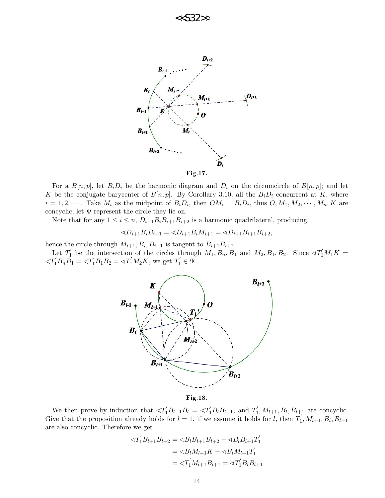



For a  $B[n, p]$ , let  $B_i D_i$  be the harmonic diagram and  $D_i$  on the circumcircle of  $B[n, p]$ ; and let K be the conjugate barycenter of  $B[n, p]$ . By Corollary 3.10, all the  $B_i D_i$  concurrent at K, where  $i = 1, 2, \cdots$ . Take  $M_i$  as the midpoint of  $B_i D_i$ , then  $OM_i \perp B_i D_i$ , thus  $O, M_1, M_2, \cdots, M_n, K$  are concyclic; let  $\Psi$  represent the circle they lie on.

Note that for any  $1 \leq i \leq n$ ,  $D_{i+1}B_iB_{i+1}B_{i+2}$  is a harmonic quadrilateral, producing:

$$
\triangleleft D_{i+1}B_iB_{i+1} = \triangleleft D_{i+1}B_iM_{i+1} = \triangleleft D_{i+1}B_{i+1}B_{i+2},
$$

hence the circle through  $M_{i+1}, B_i, B_{i+1}$  is tangent to  $B_{i+1}B_{i+2}$ .

Let  $T_1'$  be the intersection of the circles through  $M_1, B_n, B_1$  and  $M_2, B_1, B_2$ . Since  $\ll T_1'M_1K =$  $\triangleleft T_1'B_nB_1 = \triangleleft T_1'B_1B_2 = \triangleleft T_1'M_2K$ , we get  $T_1' \in \Psi$ .



Fig.18.

We then prove by induction that  $\langle T_1'B_{l-1}B_l \rangle = \langle T_1'B_lB_{l+1}$ , and  $T_1'$  $I'_1, M_{l+1}, B_l, B_{l+1}$  are concyclic. Give that the proposition already holds for  $l = 1$ , if we assume it holds for l, then  $T_1$  $j'_{1}, M_{l+1}, B_{l}, B_{l+1}$ are also concyclic. Therefore we get

$$
\begin{aligned} \triangleleft T_1'B_{l+1}B_{l+2} &= \triangleleft B_lB_{l+1}B_{l+2} - \triangleleft B_lB_{l+1}T_1' \\ &= \triangleleft B_lM_{l+1}K - \triangleleft B_lM_{l+1}T_1' \\ &= \triangleleft T_1'M_{l+1}B_{l+1} = \triangleleft T_1'B_lB_{l+1} \end{aligned}
$$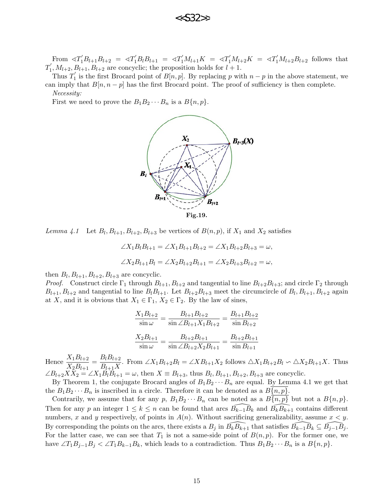

From  $\langle T_1'B_{l+1}B_{l+2} = \langle T_1'B_lB_{l+1} = \langle T_1'M_{l+1}K = \langle T_1'M_{l+2}K = \langle T_1'M_{l+2}B_{l+2} \rangle$  follows that  $T_1^{'}$  $I'_1, M_{l+2}, B_{l+1}, B_{l+2}$  are concyclic; the proposition holds for  $l+1$ .

Thus  $T_1'$  $j_1$  is the first Brocard point of  $B[n, p]$ . By replacing p with  $n - p$  in the above statement, we can imply that  $B[n, n-p]$  has the first Brocard point. The proof of sufficiency is then complete. Necessity:

First we need to prove the  $B_1B_2\cdots B_n$  is a  $B\{n,p\}.$ 



Lemma 4.1 Let  $B_l$ ,  $B_{l+1}$ ,  $B_{l+2}$ ,  $B_{l+3}$  be vertices of  $B(n, p)$ , if  $X_1$  and  $X_2$  satisfies

$$
\angle X_1B_lB_{l+1} = \angle X_1B_{l+1}B_{l+2} = \angle X_1B_{l+2}B_{l+3} = \omega,
$$
  

$$
\angle X_2B_{l+1}B_l = \angle X_2B_{l+2}B_{l+1} = \angle X_2B_{l+3}B_{l+2} = \omega,
$$

then  $B_l, B_{l+1}, B_{l+2}, B_{l+3}$  are concyclic.

*Proof.* Construct circle  $\Gamma_1$  through  $B_{l+1}, B_{l+2}$  and tangential to line  $B_{l+2}B_{l+3}$ ; and circle  $\Gamma_2$  through  $B_{l+1}, B_{l+2}$  and tangential to line  $B_l B_{l+1}$ . Let  $B_{l+2} B_{l+3}$  meet the circumcircle of  $B_l, B_{l+1}, B_{l+2}$  again at X, and it is obvious that  $X_1 \in \Gamma_1$ ,  $X_2 \in \Gamma_2$ . By the law of sines,

$$
\frac{X_1 B_{l+2}}{\sin \omega} = \frac{B_{l+1} B_{l+2}}{\sin \angle B_{l+1} X_1 B_{l+2}} = \frac{B_{l+1} B_{l+2}}{\sin B_{l+2}}
$$

$$
\frac{X_2 B_{l+1}}{\sin \omega} = \frac{B_{l+2} B_{l+1}}{\sin \angle B_{l+2} X_2 B_{l+1}} = \frac{B_{l+2} B_{l+1}}{\sin B_{l+1}}
$$

Hence  $\frac{X_1B_{l+2}}{X_1B}$  $\frac{X_1B_{l+2}}{X_2B_{l+1}} = \frac{B_lB_{l+2}}{B_{l+1}X}$  $\frac{B[Dl+1]}{B_{l+1}X}$ . From  $\angle X_1B_{l+2}B_l = \angle XB_{l+1}X_2$  follows  $\triangle X_1B_{l+2}B_l \backsim \triangle X_2B_{l+1}X$ . Thus  $\angle B_{l+2}X\bar{X}_{2} = \angle X_{1}B_{l}^{T}B_{l+1} = \omega$ , then  $X \equiv B_{l+3}$ , thus  $B_{l}, B_{l+1}, B_{l+2}, B_{l+3}$  are concyclic.

By Theorem 1, the conjugate Brocard angles of  $B_1B_2 \cdots B_n$  are equal. By Lemma 4.1 we get that the  $B_1B_2 \cdots B_n$  is inscribed in a circle. Therefore it can be denoted as a  $B\{n, p\}$ .

Contrarily, we assume that for any p,  $B_1B_2\cdots B_n$  can be noted as a  $B\overline{\{n,p\}}$  but not a  $B\{n,p\}$ . Then for any p an integer  $1 \leq k \leq n$  can be found that arcs  $\overline{B}_{k-1}\overline{B}_k$  and  $\overline{B}_k\overline{B}_{k+1}$  contains different numbers, x and y respectively, of points in  $A(n)$ . Without sacrificing generalizability, assume  $x < y$ . By corresponding the points on the arcs, there exists a  $B_j$  in  $\overline{B_kB_{k+1}}$  that satisfies  $\overline{B_{k-1}B_k} \subseteq \overline{B_{j-1}B_j}$ . For the latter case, we can see that  $T_1$  is not a same-side point of  $B(n, p)$ . For the former one, we have  $\angle T_1B_{j-1}B_j < \angle T_1B_{k-1}B_k$ , which leads to a contradiction. Thus  $B_1B_2 \cdots B_n$  is a  $B\{n, p\}$ .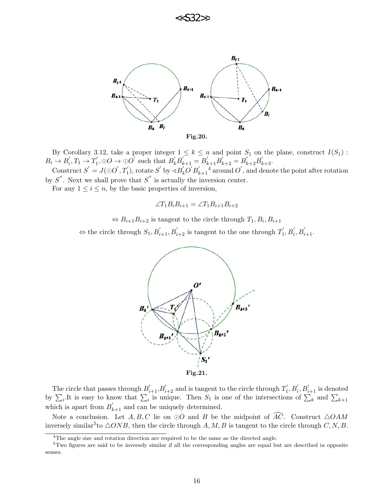



By Corollary 3.12, take a proper integer  $1 \leq k \leq n$  and point  $S_1$  on the plane, construct  $I(S_1)$ :  $B_i \to B'_i$  $i, T_1 \to T_1'$  $B'_{1}, \odot O \rightarrow \odot O'$  such that  $B'_{k}B'_{k+1} = B'_{k+1}B'_{k+2} = B'_{k+2}B'_{k+3}$ . Construct  $S' = J(\bigcirc O', T'_1)$ , rotate  $S'$  by  $\triangleleft B'_k O' B'_k$  $\int_{k+1}^{t}$  around  $O'$ , and denote the point after rotation

by  $S''$ . Next we shall prove that  $S''$  is actually the inversion center.

For any  $1 \leq i \leq n$ , by the basic properties of inversion,

$$
\angle T_1 B_i B_{i+1} = \angle T_1 B_{i+1} B_{i+2}
$$

 $\Leftrightarrow B_{i+1}B_{i+2}$  is tangent to the circle through  $T_1, B_i, B_{i+1}$ 

 $\Leftrightarrow$  the circle through  $S_1, B_{i+1}', B_{i+2}'$  is tangent to the one through  $T_1'$  $p'_{1}, B'_{i}, B'_{i+1}.$ 



The circle that passes through  $B'_{i+1}, B'_{i+2}$  and is tangent to the circle through  $T'_1$  $j'_{1}, B'_{i}, B'_{i+1}$  is denoted by  $\sum_i$ .It is easy to know that  $\sum_i$  is unique. Then  $S_1$  is one of the intersections of  $\sum_k$  and  $\sum_{k+1}$ which is apart from  $B'_{k+1}$  and can be uniquely determined.

Note a conclusion. Let  $A, B, C$  lie on  $\odot O$  and B be the midpoint of  $\widehat{AC}$ . Construct  $\triangle OAM$ inversely similar<sup>5</sup> to  $\triangle ONB$ , then the circle through A, M, B is tangent to the circle through C, N, B.

<sup>&</sup>lt;sup>4</sup>The angle size and rotation direction are required to be the same as the directed angle.

<sup>5</sup>Two figures are said to be inversely similar if all the corresponding angles are equal but are described in opposite senses.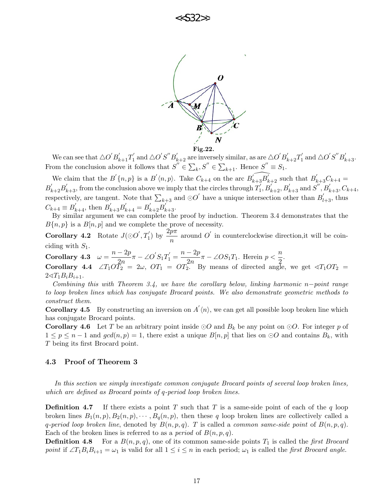



We can see that  $\triangle O^{'}B_{k+1}^{'}T_1^{'}$  $\mathbf{p}'_1$  and  $\triangle O^{'}S^{''}B^{'}_{k+2}$  are inversely similar, as are  $\triangle O^{'}B^{'}_{k+2}T^{'}_1$  $S'_{1}$  and  $\triangle O'S''B'_{k+3}$ . From the conclusion above it follows that  $S'' \in \sum_k S'' \in \sum_{k+1}$ . Hence  $S'' \equiv S_1$ .

We claim that the  $B'(n, p)$  is a  $B'(n, p)$ . Take  $C_{k+4}$  on the arc  $\widehat{B'_{k+3}B'_{k+2}}$  such that  $B'_{k+3}C_{k+4}$  $B_{k+2}'B_{k+3}'$ , from the conclusion above we imply that the circles through  $T_1'$  $S_1', B_{k+2}', B_{k+3}'$  and  $S'', B_{k+3}', C_{k+4},$ respectively, are tangent. Note that  $\sum_{k+3}$  and  $\odot O'$  have a unique intersection other than  $B'_{l+3}$ , thus  $C_{k+4} \equiv B'_{k+4}$ , then  $B'_{k+3}B'_{k+4} = B'_{k+2}B'_{k+3}$ .

By similar argument we can complete the proof by induction. Theorem 3.4 demonstrates that the  $B\{n, p\}$  is a  $B[n, p]$  and we complete the prove of necessity.

**Corollary 4.2** Rotate  $J(\odot O', T'_1)$  by  $\frac{2p\pi}{n}$  around O' in counterclockwise direction,it will be coinciding with  $S_1$ .

Corollary 4.3  $\omega = \frac{n-2p}{2}$  $\frac{-2p}{2n}\pi - \angle O'S_1T_1' = \frac{n-2p}{2n}$  $\frac{(-2p)}{2n}\pi - \angle OS_1T_1$ . Herein  $p < \frac{n}{2}$  $\frac{1}{2}$ . **Corollary 4.4**  $\angle T_1O\overline{T_2} = 2\omega$ ,  $OT_1 = OT_2^{2\omega}$  By means of directed angle, we get  $\triangleleft T_1OT_2 =$ 

 $2\triangleleft T_1B_iB_{i+1}.$ 

Combining this with Theorem 3.4, we have the corollary below, linking harmonic n−point range to loop broken lines which has conjugate Brocard points. We also demonstrate geometric methods to construct them.

**Corollary 4.5** By constructing an inversion on  $A'(n)$ , we can get all possible loop broken line which has conjugate Brocard points.

**Corollary 4.6** Let T be an arbitrary point inside  $\odot$ O and  $B_k$  be any point on  $\odot$ O. For integer p of  $1 \leq p \leq n-1$  and  $gcd(n, p) = 1$ , there exist a unique  $B[n, p]$  that lies on  $\odot O$  and contains  $B_k$ , with T being its first Brocard point.

#### 4.3 Proof of Theorem 3

In this section we simply investigate common conjugate Brocard points of several loop broken lines, which are defined as Brocard points of q-period loop broken lines.

**Definition 4.7** If there exists a point T such that T is a same-side point of each of the q loop broken lines  $B_1(n, p), B_2(n, p), \cdots, B_q(n, p)$ , then these q loop broken lines are collectively called a q-period loop broken line, denoted by  $B(n, p, q)$ . T is called a common same-side point of  $B(n, p, q)$ . Each of the broken lines is referred to as a *period* of  $B(n, p, q)$ .

**Definition 4.8** For a  $B(n, p, q)$ , one of its common same-side points  $T_1$  is called the *first Brocard* point if  $\angle T_1B_iB_{i+1} = \omega_1$  is valid for all  $1 \leq i \leq n$  in each period;  $\omega_1$  is called the *first Brocard angle.*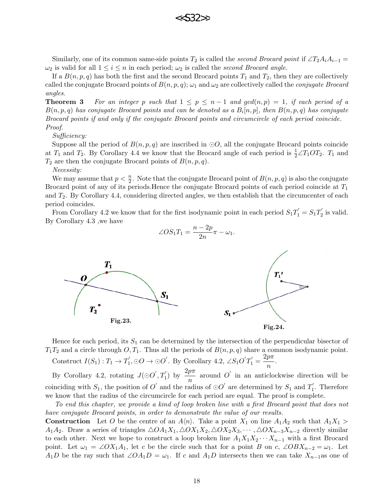

Similarly, one of its common same-side points  $T_2$  is called the second Brocard point if  $\angle T_2A_iA_{i-1}$  =  $\omega_2$  is valid for all  $1 \leq i \leq n$  in each period;  $\omega_2$  is called the second Brocard angle.

If a  $B(n, p, q)$  has both the first and the second Brocard points  $T_1$  and  $T_2$ , then they are collectively called the conjugate Brocard points of  $B(n, p, q)$ ;  $\omega_1$  and  $\omega_2$  are collectively called the *conjugate Brocard* angles.

**Theorem 3** For an integer p such that  $1 \leq p \leq n-1$  and  $gcd(n,p) = 1$ , if each period of a  $B(n,p,q)$  has conjugate Brocard points and can be denoted as a  $B_i[n,p]$ , then  $B(n,p,q)$  has conjugate Brocard points if and only if the conjugate Brocard points and circumcircle of each period coincide. Proof.

#### Sufficiency:

Suppose all the period of  $B(n, p, q)$  are inscribed in  $\odot O$ , all the conjugate Brocard points coincide at  $T_1$  and  $T_2$ . By Corollary 4.4 we know that the Brocard angle of each period is  $\frac{1}{2} \angle T_1OT_2$ .  $T_1$  and  $T_2$  are then the conjugate Brocard points of  $B(n, p, q)$ .

Necessity:

We may assume that  $p < \frac{n}{2}$ . Note that the conjugate Brocard point of  $B(n, p, q)$  is also the conjugate Brocard point of any of its periods. Hence the conjugate Brocard points of each period coincide at  $T_1$ and  $T_2$ . By Corollary 4.4, considering directed angles, we then establish that the circumcenter of each period coincides.

From Corollary 4.2 we know that for the first isodynamic point in each period  $S_1T_1 = S_1T_2$  $y'_2$  is valid. By Corollary 4.3 ,we have

$$
\angle O S_1 T_1 = \frac{n - 2p}{2n} \pi - \omega_1.
$$



Hence for each period, its  $S_1$  can be determined by the intersection of the perpendicular bisector of  $T_1T_2$  and a circle through  $O, T_1$ . Thus all the periods of  $B(n, p, q)$  share a common isodynamic point. Construct  $I(S_1) : T_1 \to T_1'$  $\gamma'_1, \odot O \rightarrow \odot O'$ . By Corollary 4.2,  $\angle S_1O'T'_1 = \frac{2p\pi}{r}$  $\frac{P^n}{n}$ .

By Corollary 4.2, rotating  $J(\odot O', T'_1)$  by  $\frac{2p\pi}{n}$  around O' in an anticlockwise direction will be coinciding with  $S_1$ , the position of  $O'$  and the radius of  $\odot O'$  are determined by  $S_1$  and  $T_1'$  $i<sub>1</sub>$ . Therefore we know that the radius of the circumcircle for each period are equal. The proof is complete.

To end this chapter, we provide a kind of loop broken line with a first Brocard point that does not have conjugate Brocard points, in order to demonstrate the value of our results.

**Construction** Let O be the centre of an  $A\langle n \rangle$ . Take a point  $X_1$  on line  $A_1A_2$  such that  $A_1X_1 >$  $A_1A_2$ . Draw a series of triangles  $\triangle OA_1X_1, \triangle OX_1X_2, \triangle OX_2X_3, \cdots, \triangle OX_{n-3}X_{n-2}$  directly similar to each other. Next we hope to construct a loop broken line  $A_1X_1X_2\cdots X_{n-1}$  with a first Brocard point. Let  $\omega_1 = \angle OX_1A_1$ , let c be the circle such that for a point B on c,  $\angle OBX_{n-2} = \omega_1$ . Let  $A_1D$  be the ray such that  $\angle OA_1D = \omega_1$ . If c and  $A_1D$  intersects then we can take  $X_{n-1}$  as one of